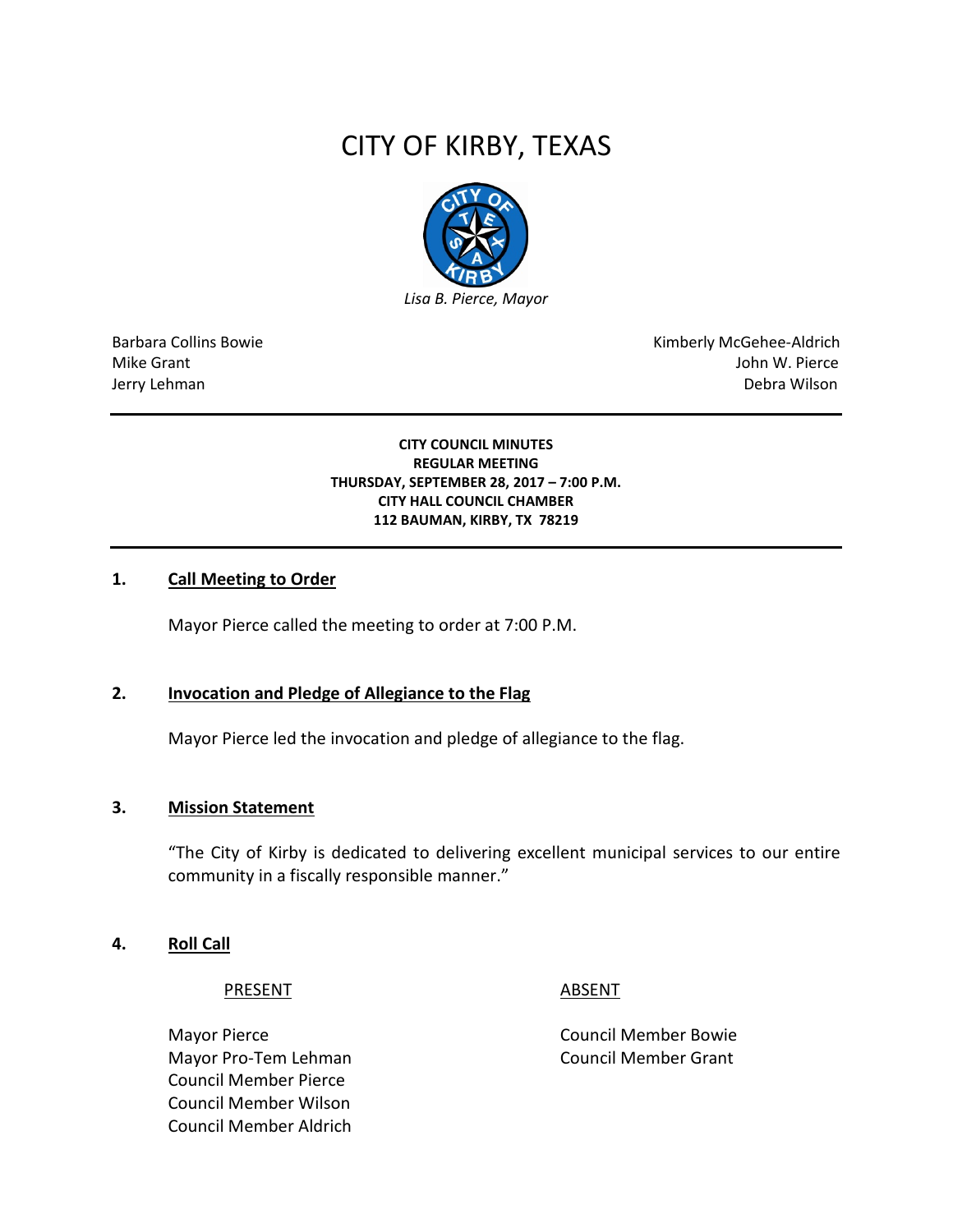# CITY OF KIRBY, TEXAS



Barbara Collins Bowie **Kimberly McGehee-Aldrich** Mike Grant John W. Pierce Jerry Lehman Debra Wilson

#### **CITY COUNCIL MINUTES REGULAR MEETING THURSDAY, SEPTEMBER 28, 2017 – 7:00 P.M. CITY HALL COUNCIL CHAMBER 112 BAUMAN, KIRBY, TX 78219**

#### **1. Call Meeting to Order**

Mayor Pierce called the meeting to order at 7:00 P.M.

#### **2. Invocation and Pledge of Allegiance to the Flag**

Mayor Pierce led the invocation and pledge of allegiance to the flag.

#### **3. Mission Statement**

"The City of Kirby is dedicated to delivering excellent municipal services to our entire community in a fiscally responsible manner."

#### **4. Roll Call**

#### PRESENT ABSENT

Mayor Pierce **Council Member Bowie** Council Member Bowie Mayor Pro-Tem Lehman Council Member Grant Council Member Pierce Council Member Wilson Council Member Aldrich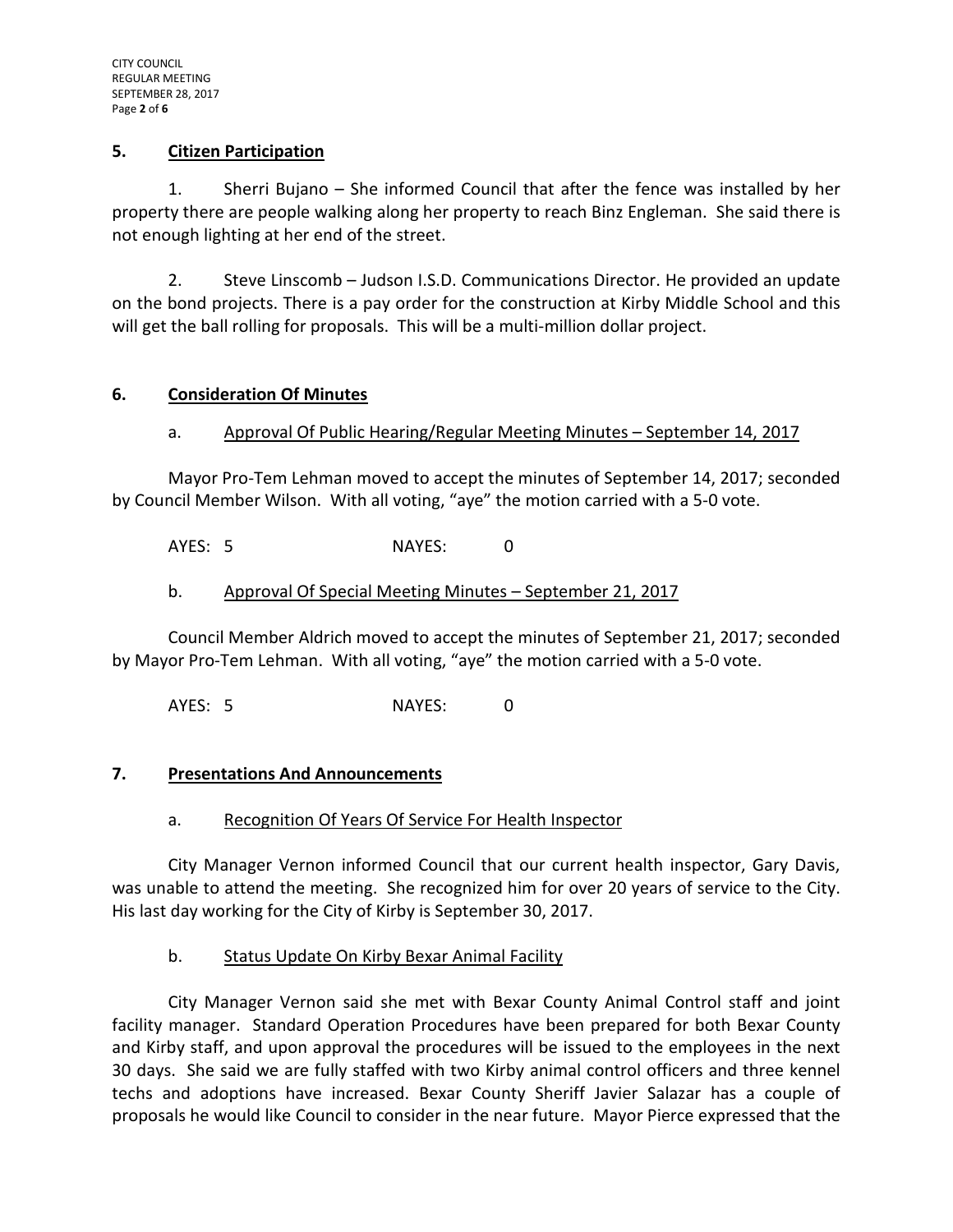#### **5. Citizen Participation**

1. Sherri Bujano – She informed Council that after the fence was installed by her property there are people walking along her property to reach Binz Engleman. She said there is not enough lighting at her end of the street.

2. Steve Linscomb – Judson I.S.D. Communications Director. He provided an update on the bond projects. There is a pay order for the construction at Kirby Middle School and this will get the ball rolling for proposals. This will be a multi-million dollar project.

# **6. Consideration Of Minutes**

# a. Approval Of Public Hearing/Regular Meeting Minutes – September 14, 2017

Mayor Pro-Tem Lehman moved to accept the minutes of September 14, 2017; seconded by Council Member Wilson. With all voting, "aye" the motion carried with a 5-0 vote.

AYES: 5 NAYES: 0

# b. Approval Of Special Meeting Minutes – September 21, 2017

Council Member Aldrich moved to accept the minutes of September 21, 2017; seconded by Mayor Pro-Tem Lehman. With all voting, "aye" the motion carried with a 5-0 vote.

AYES: 5 NAYES: 0

#### **7. Presentations And Announcements**

#### a. Recognition Of Years Of Service For Health Inspector

City Manager Vernon informed Council that our current health inspector, Gary Davis, was unable to attend the meeting. She recognized him for over 20 years of service to the City. His last day working for the City of Kirby is September 30, 2017.

# b. Status Update On Kirby Bexar Animal Facility

City Manager Vernon said she met with Bexar County Animal Control staff and joint facility manager. Standard Operation Procedures have been prepared for both Bexar County and Kirby staff, and upon approval the procedures will be issued to the employees in the next 30 days. She said we are fully staffed with two Kirby animal control officers and three kennel techs and adoptions have increased. Bexar County Sheriff Javier Salazar has a couple of proposals he would like Council to consider in the near future. Mayor Pierce expressed that the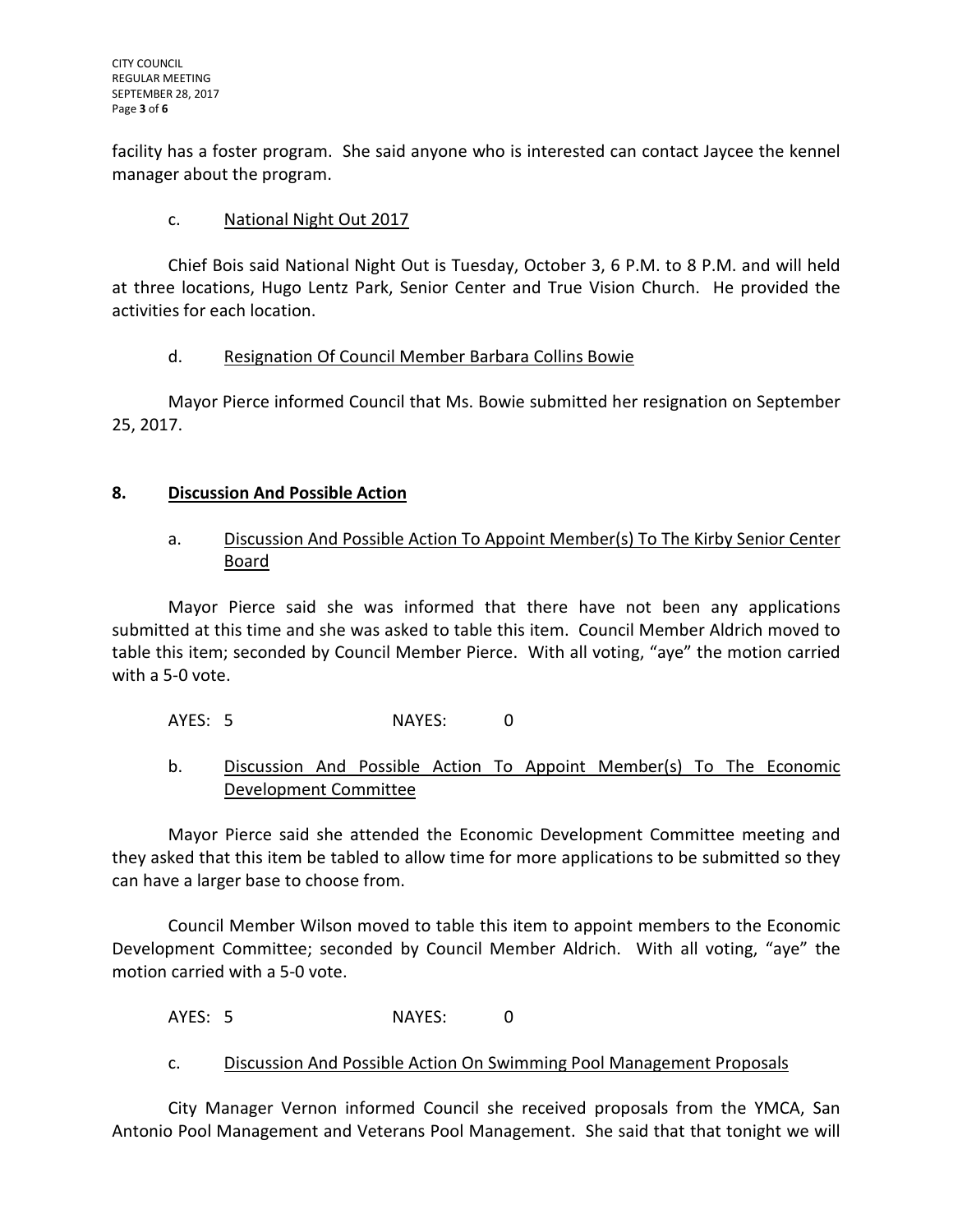facility has a foster program. She said anyone who is interested can contact Jaycee the kennel manager about the program.

# c. National Night Out 2017

Chief Bois said National Night Out is Tuesday, October 3, 6 P.M. to 8 P.M. and will held at three locations, Hugo Lentz Park, Senior Center and True Vision Church. He provided the activities for each location.

# d. Resignation Of Council Member Barbara Collins Bowie

Mayor Pierce informed Council that Ms. Bowie submitted her resignation on September 25, 2017.

# **8. Discussion And Possible Action**

# a. Discussion And Possible Action To Appoint Member(s) To The Kirby Senior Center Board

Mayor Pierce said she was informed that there have not been any applications submitted at this time and she was asked to table this item. Council Member Aldrich moved to table this item; seconded by Council Member Pierce. With all voting, "aye" the motion carried with a 5-0 vote.

AYES: 5 NAYES: 0

# b. Discussion And Possible Action To Appoint Member(s) To The Economic Development Committee

Mayor Pierce said she attended the Economic Development Committee meeting and they asked that this item be tabled to allow time for more applications to be submitted so they can have a larger base to choose from.

Council Member Wilson moved to table this item to appoint members to the Economic Development Committee; seconded by Council Member Aldrich. With all voting, "aye" the motion carried with a 5-0 vote.

AYES: 5 NAYES: 0

c. Discussion And Possible Action On Swimming Pool Management Proposals

City Manager Vernon informed Council she received proposals from the YMCA, San Antonio Pool Management and Veterans Pool Management. She said that that tonight we will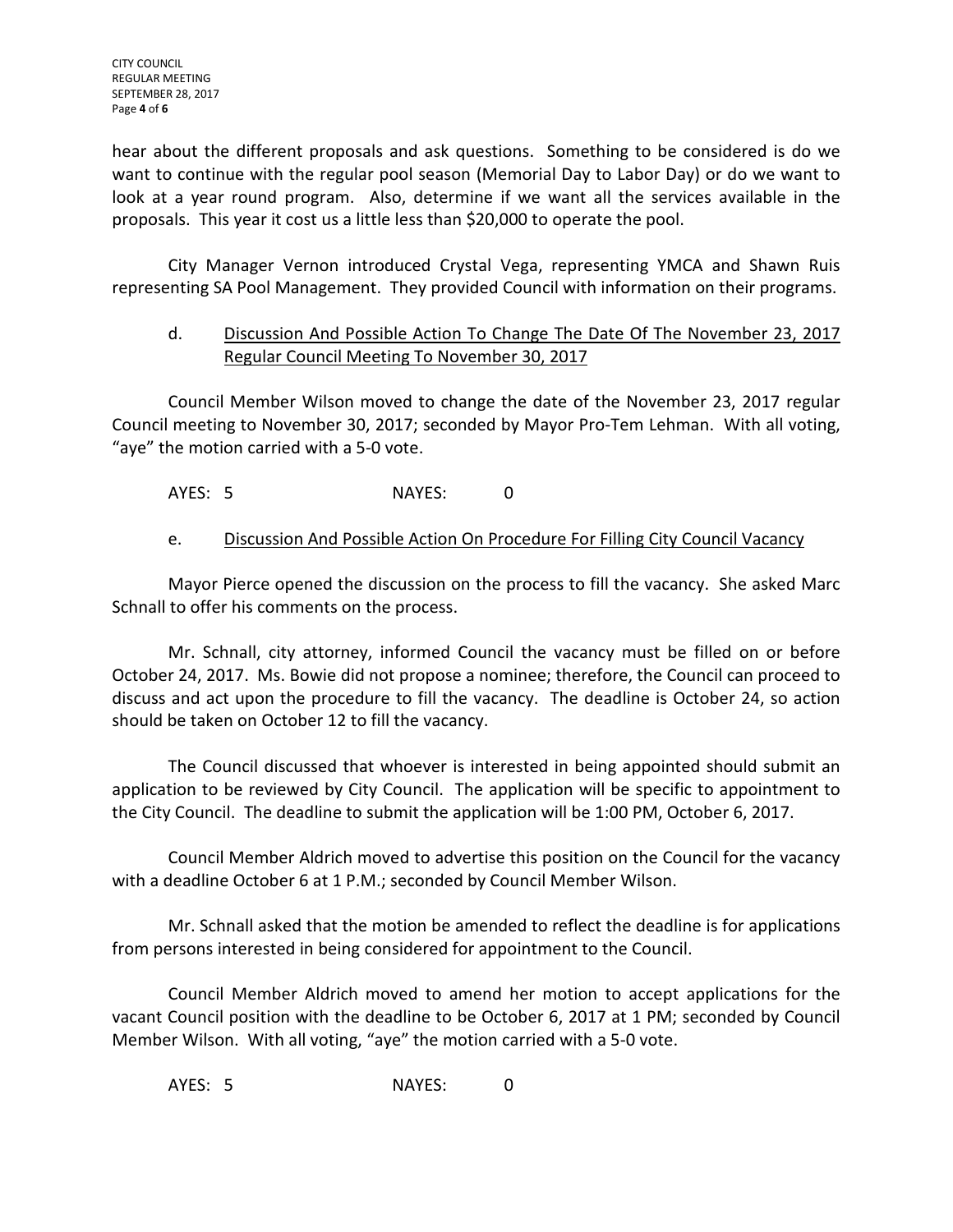hear about the different proposals and ask questions. Something to be considered is do we want to continue with the regular pool season (Memorial Day to Labor Day) or do we want to look at a year round program. Also, determine if we want all the services available in the proposals. This year it cost us a little less than \$20,000 to operate the pool.

City Manager Vernon introduced Crystal Vega, representing YMCA and Shawn Ruis representing SA Pool Management. They provided Council with information on their programs.

# d. Discussion And Possible Action To Change The Date Of The November 23, 2017 Regular Council Meeting To November 30, 2017

Council Member Wilson moved to change the date of the November 23, 2017 regular Council meeting to November 30, 2017; seconded by Mayor Pro-Tem Lehman. With all voting, "aye" the motion carried with a 5-0 vote.

AYES: 5 NAYES: 0

# e. Discussion And Possible Action On Procedure For Filling City Council Vacancy

Mayor Pierce opened the discussion on the process to fill the vacancy. She asked Marc Schnall to offer his comments on the process.

Mr. Schnall, city attorney, informed Council the vacancy must be filled on or before October 24, 2017. Ms. Bowie did not propose a nominee; therefore, the Council can proceed to discuss and act upon the procedure to fill the vacancy. The deadline is October 24, so action should be taken on October 12 to fill the vacancy.

The Council discussed that whoever is interested in being appointed should submit an application to be reviewed by City Council. The application will be specific to appointment to the City Council. The deadline to submit the application will be 1:00 PM, October 6, 2017.

Council Member Aldrich moved to advertise this position on the Council for the vacancy with a deadline October 6 at 1 P.M.; seconded by Council Member Wilson.

Mr. Schnall asked that the motion be amended to reflect the deadline is for applications from persons interested in being considered for appointment to the Council.

Council Member Aldrich moved to amend her motion to accept applications for the vacant Council position with the deadline to be October 6, 2017 at 1 PM; seconded by Council Member Wilson. With all voting, "aye" the motion carried with a 5-0 vote.

AYES: 5 NAYES: 0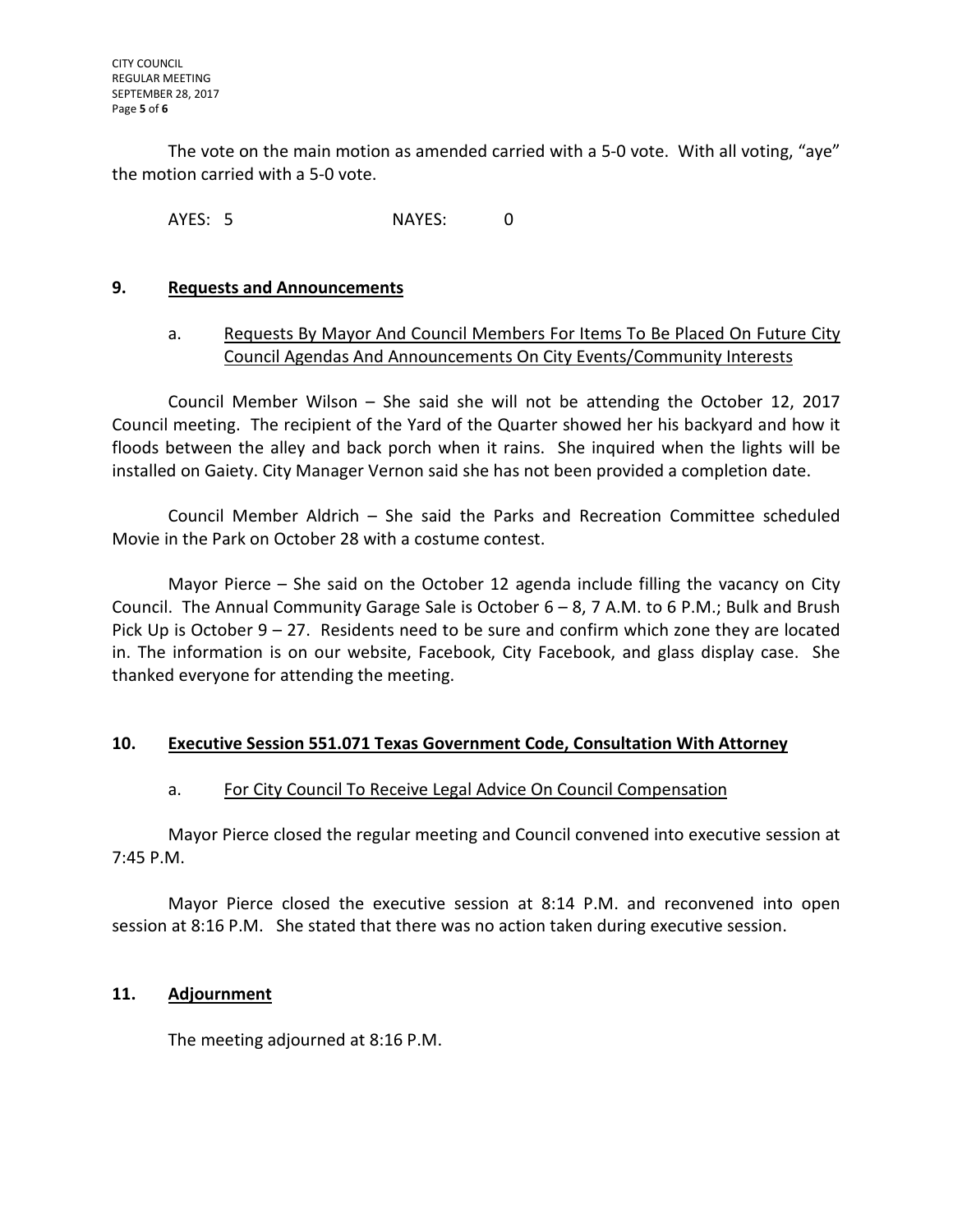The vote on the main motion as amended carried with a 5-0 vote. With all voting, "aye" the motion carried with a 5-0 vote.

AYES: 5 NAYES: 0

#### **9. Requests and Announcements**

# a. Requests By Mayor And Council Members For Items To Be Placed On Future City Council Agendas And Announcements On City Events/Community Interests

Council Member Wilson – She said she will not be attending the October 12, 2017 Council meeting. The recipient of the Yard of the Quarter showed her his backyard and how it floods between the alley and back porch when it rains. She inquired when the lights will be installed on Gaiety. City Manager Vernon said she has not been provided a completion date.

Council Member Aldrich – She said the Parks and Recreation Committee scheduled Movie in the Park on October 28 with a costume contest.

Mayor Pierce – She said on the October 12 agenda include filling the vacancy on City Council. The Annual Community Garage Sale is October 6 – 8, 7 A.M. to 6 P.M.; Bulk and Brush Pick Up is October 9 – 27. Residents need to be sure and confirm which zone they are located in. The information is on our website, Facebook, City Facebook, and glass display case. She thanked everyone for attending the meeting.

#### **10. Executive Session 551.071 Texas Government Code, Consultation With Attorney**

# a. For City Council To Receive Legal Advice On Council Compensation

Mayor Pierce closed the regular meeting and Council convened into executive session at 7:45 P.M.

Mayor Pierce closed the executive session at 8:14 P.M. and reconvened into open session at 8:16 P.M. She stated that there was no action taken during executive session.

#### **11. Adjournment**

The meeting adjourned at 8:16 P.M.